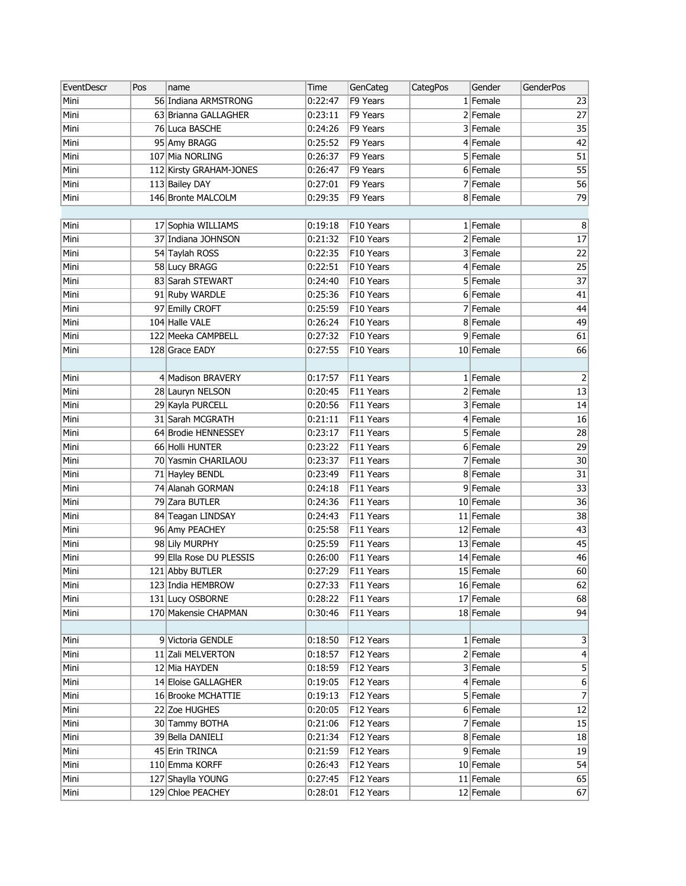| EventDescr | Pos | name                    | Time    | GenCateg  | <b>CategPos</b> | Gender      | <b>GenderPos</b> |
|------------|-----|-------------------------|---------|-----------|-----------------|-------------|------------------|
| Mini       |     | 56 Indiana ARMSTRONG    | 0:22:47 | F9 Years  |                 | $1$ Female  | 23               |
| Mini       |     | 63 Brianna GALLAGHER    | 0:23:11 | F9 Years  |                 | $2$ Female  | 27               |
| Mini       |     | 76 Luca BASCHE          | 0:24:26 | F9 Years  |                 | 3 Female    | 35               |
| Mini       |     | 95 Amy BRAGG            | 0:25:52 | F9 Years  |                 | $4$ Female  | 42               |
| Mini       |     | 107 Mia NORLING         | 0:26:37 | F9 Years  |                 | $5$ Female  | 51               |
| Mini       |     | 112 Kirsty GRAHAM-JONES | 0:26:47 | F9 Years  |                 | $6$ Female  | 55               |
| Mini       |     | 113 Bailey DAY          | 0:27:01 | F9 Years  |                 | 7 Female    | 56               |
| Mini       |     | 146 Bronte MALCOLM      | 0:29:35 | F9 Years  |                 | 8 Female    | 79               |
|            |     |                         |         |           |                 |             |                  |
| Mini       |     | 17 Sophia WILLIAMS      | 0:19:18 | F10 Years |                 | $1$ Female  | $\, 8$           |
| Mini       |     | 37 Indiana JOHNSON      | 0:21:32 | F10 Years |                 | $2$ Female  | 17               |
| Mini       |     | 54 Taylah ROSS          | 0:22:35 | F10 Years |                 | 3 Female    | 22               |
| Mini       |     | 58 Lucy BRAGG           | 0:22:51 | F10 Years |                 | $4$ Female  | 25               |
| Mini       |     | 83 Sarah STEWART        | 0:24:40 | F10 Years |                 | $5$ Female  | $\overline{37}$  |
| Mini       |     | 91 Ruby WARDLE          | 0:25:36 | F10 Years |                 | 6 Female    | 41               |
| Mini       |     | 97 Emilly CROFT         | 0:25:59 | F10 Years |                 | $7$ Female  | 44               |
| Mini       |     | 104 Halle VALE          | 0:26:24 | F10 Years |                 | 8 Female    | 49               |
| Mini       |     | 122 Meeka CAMPBELL      | 0:27:32 | F10 Years |                 | 9 Female    | 61               |
| Mini       |     | 128 Grace EADY          | 0:27:55 | F10 Years |                 | 10 Female   | 66               |
|            |     |                         |         |           |                 |             |                  |
| Mini       |     | 4 Madison BRAVERY       | 0:17:57 | F11 Years |                 | $1$ Female  | $\overline{2}$   |
| Mini       |     | 28 Lauryn NELSON        | 0:20:45 | F11 Years |                 | $2$ Female  | $\overline{13}$  |
| Mini       |     | 29 Kayla PURCELL        | 0:20:56 | F11 Years |                 | $3$ Female  | 14               |
| Mini       |     | 31 Sarah MCGRATH        | 0:21:11 | F11 Years |                 | $4$ Female  | 16               |
| Mini       |     | 64 Brodie HENNESSEY     | 0:23:17 | F11 Years |                 | 5 Female    | 28               |
| Mini       |     | 66 Holli HUNTER         | 0:23:22 | F11 Years |                 | $6$ Female  | 29               |
| Mini       |     | 70 Yasmin CHARILAOU     | 0:23:37 | F11 Years |                 | $7$ Female  | 30               |
| Mini       |     | 71 Hayley BENDL         | 0:23:49 | F11 Years |                 | 8 Female    | 31               |
| Mini       |     | 74 Alanah GORMAN        | 0:24:18 | F11 Years |                 | 9 Female    | 33               |
| Mini       |     | 79 Zara BUTLER          | 0:24:36 | F11 Years |                 | 10 Female   | 36               |
| Mini       |     | 84 Teagan LINDSAY       | 0:24:43 | F11 Years |                 | $11$ Female | 38               |
| Mini       |     | 96 Amy PEACHEY          | 0:25:58 | F11 Years |                 | 12 Female   | 43               |
| Mini       |     | 98 Lily MURPHY          | 0:25:59 | F11 Years |                 | 13 Female   | 45               |
| Mini       |     | 99 Ella Rose DU PLESSIS | 0:26:00 | F11 Years |                 | $14$ Female | 46               |
| Mini       |     | 121 Abby BUTLER         | 0:27:29 | F11 Years |                 | 15 Female   | 60               |
| Mini       |     | 123 India HEMBROW       | 0:27:33 | F11 Years |                 | 16 Female   | $\overline{62}$  |
| Mini       |     | 131 Lucy OSBORNE        | 0:28:22 | F11 Years |                 | 17 Female   | 68               |
| Mini       |     | 170 Makensie CHAPMAN    | 0:30:46 | F11 Years |                 | 18 Female   | 94               |
|            |     |                         |         |           |                 |             |                  |
| Mini       |     | 9 Victoria GENDLE       | 0:18:50 | F12 Years |                 | $1$ Female  | 3                |
| Mini       |     | 11 Zali MELVERTON       | 0:18:57 | F12 Years |                 | $2$ Female  | 4                |
| Mini       |     | 12 Mia HAYDEN           | 0:18:59 | F12 Years |                 | 3 Female    | 5                |
| Mini       |     | 14 Eloise GALLAGHER     | 0:19:05 | F12 Years |                 | $4$ Female  | 6                |
| Mini       |     | 16 Brooke MCHATTIE      | 0:19:13 | F12 Years |                 | $5$ Female  | $\overline{7}$   |
| Mini       |     | 22 Zoe HUGHES           | 0:20:05 | F12 Years |                 | 6 Female    | 12               |
| Mini       |     | 30 Tammy BOTHA          | 0:21:06 | F12 Years |                 | 7 Female    | 15               |
| Mini       |     | 39 Bella DANIELI        | 0:21:34 | F12 Years |                 | 8 Female    | 18               |
| Mini       |     | 45 Erin TRINCA          | 0:21:59 | F12 Years |                 | $9$ Female  | 19               |
| Mini       |     | 110 Emma KORFF          | 0:26:43 | F12 Years |                 | 10 Female   | 54               |
| Mini       |     | 127 Shaylla YOUNG       | 0:27:45 | F12 Years |                 | $11$ Female | 65               |
| Mini       |     | 129 Chloe PEACHEY       | 0:28:01 | F12 Years |                 | $12$ Female | 67               |
|            |     |                         |         |           |                 |             |                  |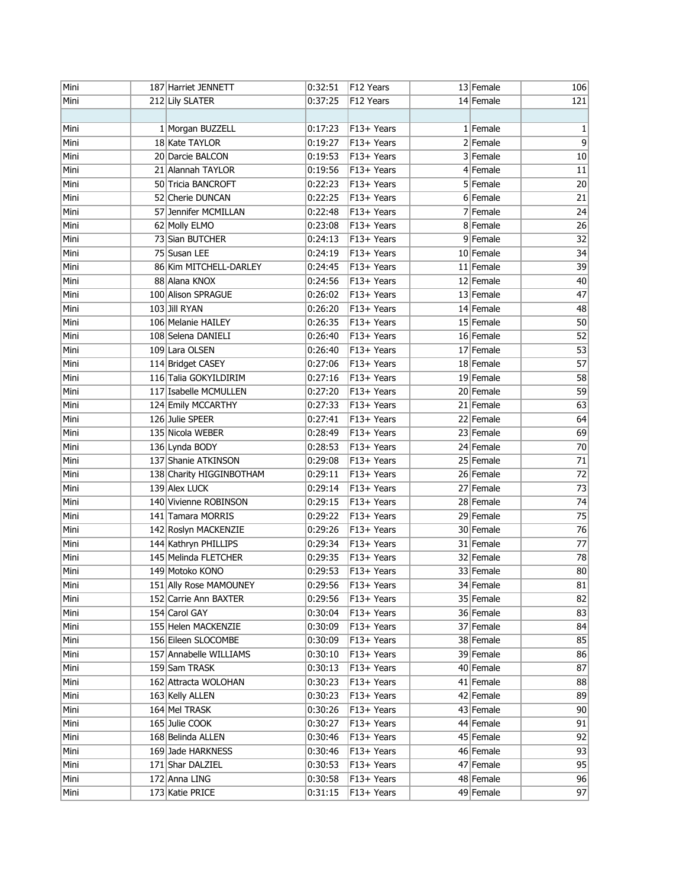| Mini | 187 Harriet JENNETT      | 0:32:51 | F12 Years              | 13 Female   | 106             |
|------|--------------------------|---------|------------------------|-------------|-----------------|
| Mini | 212 Lily SLATER          | 0:37:25 | F12 Years              | 14 Female   | 121             |
|      |                          |         |                        |             |                 |
| Mini | 1 Morgan BUZZELL         | 0:17:23 | F13+ Years             | $1$ Female  | 1               |
| Mini | 18 Kate TAYLOR           | 0:19:27 | $\overline{F13}$ Years | $2$ Female  | $\overline{9}$  |
| Mini | 20 Darcie BALCON         | 0:19:53 | F13+ Years             | 3 Female    | 10              |
| Mini | 21 Alannah TAYLOR        | 0:19:56 | F13+ Years             | $4$ Female  | 11              |
| Mini | 50 Tricia BANCROFT       | 0:22:23 | F13+ Years             | $5$ Female  | 20              |
| Mini | 52 Cherie DUNCAN         | 0:22:25 | F13+ Years             | $6$ Female  | 21              |
| Mini | 57 Jennifer MCMILLAN     | 0:22:48 | F13+ Years             | $7$ Female  | 24              |
| Mini | 62 Molly ELMO            | 0:23:08 | F13+ Years             | 8 Female    | 26              |
| Mini | 73 Sian BUTCHER          | 0:24:13 | F13+ Years             | 9 Female    | 32              |
| Mini | 75 Susan LEE             | 0:24:19 | F13+ Years             | 10 Female   | 34              |
| Mini | 86 Kim MITCHELL-DARLEY   | 0:24:45 | F13+ Years             | 11 Female   | 39              |
| Mini | 88 Alana KNOX            | 0:24:56 | F13+ Years             | 12 Female   | 40              |
| Mini | 100 Alison SPRAGUE       | 0:26:02 | F13+ Years             | 13 Female   | 47              |
| Mini | 103 Jill RYAN            | 0:26:20 | F13+ Years             | 14 Female   | 48              |
| Mini | 106 Melanie HAILEY       | 0:26:35 | F13+ Years             | 15 Female   | 50              |
| Mini | 108 Selena DANIELI       | 0:26:40 | F13+ Years             | 16 Female   | 52              |
| Mini | 109 Lara OLSEN           | 0:26:40 | F13+ Years             | $17$ Female | 53              |
| Mini | 114 Bridget CASEY        | 0:27:06 | F13+ Years             | 18 Female   | $\overline{57}$ |
| Mini | 116 Talia GOKYILDIRIM    | 0:27:16 | F13+ Years             | 19 Female   | 58              |
| Mini | 117 Isabelle MCMULLEN    | 0:27:20 | F13+ Years             | 20 Female   | $\overline{59}$ |
| Mini | 124 Emily MCCARTHY       | 0:27:33 | F13+ Years             | 21 Female   | 63              |
| Mini | 126 Julie SPEER          | 0:27:41 | F13+ Years             | 22 Female   | 64              |
| Mini | 135 Nicola WEBER         | 0:28:49 | F13+ Years             | 23 Female   | 69              |
| Mini | 136 Lynda BODY           | 0:28:53 | F13+ Years             | 24 Female   | 70              |
| Mini | 137 Shanie ATKINSON      | 0:29:08 | F13+ Years             | 25 Female   | $\overline{71}$ |
| Mini | 138 Charity HIGGINBOTHAM | 0:29:11 | F13+ Years             | 26 Female   | 72              |
| Mini | 139 Alex LUCK            | 0:29:14 | F13+ Years             | 27 Female   | 73              |
| Mini | 140 Vivienne ROBINSON    | 0:29:15 | F13+ Years             | 28 Female   | 74              |
| Mini | 141 Tamara MORRIS        | 0:29:22 | F13+ Years             | 29 Female   | 75              |
| Mini | 142 Roslyn MACKENZIE     | 0:29:26 | F13+ Years             | 30 Female   | 76              |
| Mini | 144 Kathryn PHILLIPS     | 0:29:34 | F13+ Years             | 31 Female   | 77              |
| Mini | 145 Melinda FLETCHER     | 0:29:35 | F13+ Years             | 32 Female   | 78              |
| Mini | 149 Motoko KONO          | 0:29:53 | F13+ Years             | 33 Female   | 80              |
| Mini | 151 Ally Rose MAMOUNEY   | 0:29:56 | F13+ Years             | 34 Female   | $\overline{81}$ |
| Mini | 152 Carrie Ann BAXTER    | 0:29:56 | F13+ Years             | 35 Female   | 82              |
| Mini | 154 Carol GAY            | 0:30:04 | F13+ Years             | 36 Female   | 83              |
| Mini | 155 Helen MACKENZIE      | 0:30:09 | F13+ Years             | 37 Female   | 84              |
| Mini | 156 Eileen SLOCOMBE      | 0:30:09 | F13+ Years             | 38 Female   | 85              |
| Mini | 157 Annabelle WILLIAMS   | 0:30:10 | F13+ Years             | 39 Female   | 86              |
| Mini | 159 Sam TRASK            | 0:30:13 | F13+ Years             | 40 Female   | 87              |
| Mini | 162 Attracta WOLOHAN     | 0:30:23 | F13+ Years             | 41 Female   | 88              |
| Mini | 163 Kelly ALLEN          | 0:30:23 | F13+ Years             | 42 Female   | 89              |
| Mini | 164 Mel TRASK            | 0:30:26 | F13+ Years             | 43 Female   | 90              |
| Mini | 165 Julie COOK           | 0:30:27 | F13+ Years             | 44 Female   | 91              |
| Mini | 168 Belinda ALLEN        | 0:30:46 | F13+ Years             | 45 Female   | 92              |
| Mini | 169 Jade HARKNESS        | 0:30:46 | F13+ Years             | 46 Female   | 93              |
| Mini | 171 Shar DALZIEL         | 0:30:53 | F13+ Years             | 47 Female   | 95              |
| Mini | 172 Anna LING            | 0:30:58 | F13+ Years             | 48 Female   | 96              |
| Mini | 173 Katie PRICE          | 0:31:15 | F13+ Years             | 49 Female   | 97              |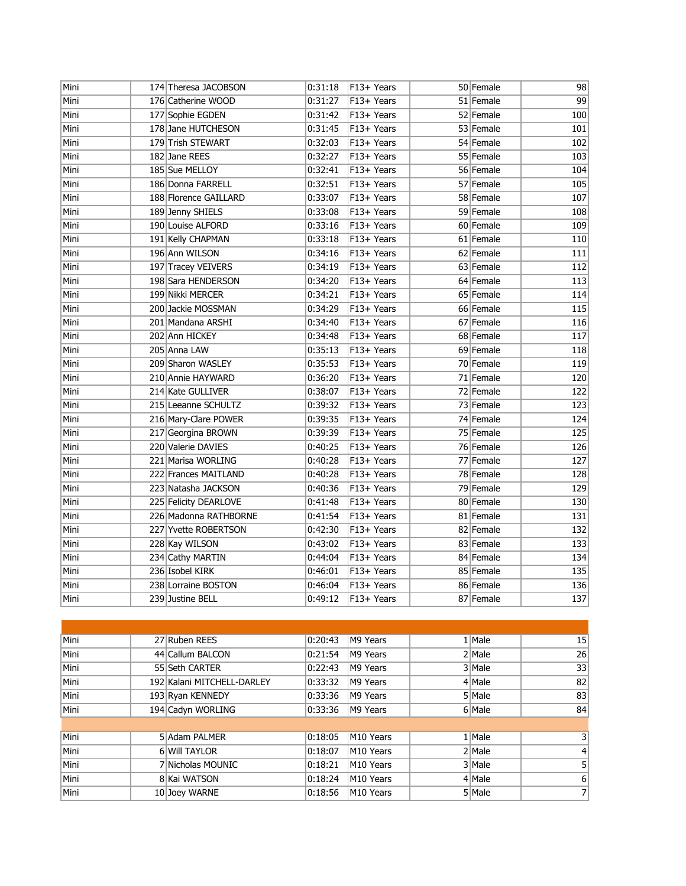| Mini | 174 Theresa JACOBSON  | 0:31:18 | F13+ Years             | 50 Female | 98  |
|------|-----------------------|---------|------------------------|-----------|-----|
| Mini | 176 Catherine WOOD    | 0:31:27 | F13+ Years             | 51 Female | 99  |
| Mini | 177 Sophie EGDEN      | 0:31:42 | F13+ Years             | 52 Female | 100 |
| Mini | 178 Jane HUTCHESON    | 0:31:45 | F13+ Years             | 53 Female | 101 |
| Mini | 179 Trish STEWART     | 0:32:03 | F13+ Years             | 54 Female | 102 |
| Mini | 182 Jane REES         | 0:32:27 | F13+ Years             | 55 Female | 103 |
| Mini | 185 Sue MELLOY        | 0:32:41 | F13+ Years             | 56 Female | 104 |
| Mini | 186 Donna FARRELL     | 0:32:51 | F13+ Years             | 57 Female | 105 |
| Mini | 188 Florence GAILLARD | 0:33:07 | F13+ Years             | 58 Female | 107 |
| Mini | 189 Jenny SHIELS      | 0:33:08 | F13+ Years             | 59 Female | 108 |
| Mini | 190 Louise ALFORD     | 0:33:16 | F13+ Years             | 60 Female | 109 |
| Mini | 191 Kelly CHAPMAN     | 0:33:18 | F13+ Years             | 61 Female | 110 |
| Mini | 196 Ann WILSON        | 0:34:16 | F13+ Years             | 62 Female | 111 |
| Mini | 197 Tracey VEIVERS    | 0:34:19 | F13+ Years             | 63 Female | 112 |
| Mini | 198 Sara HENDERSON    | 0:34:20 | F13+ Years             | 64 Female | 113 |
| Mini | 199 Nikki MERCER      | 0:34:21 | F13+ Years             | 65 Female | 114 |
| Mini | 200 Jackie MOSSMAN    | 0:34:29 | F13+ Years             | 66 Female | 115 |
| Mini | 201 Mandana ARSHI     | 0:34:40 | F13+ Years             | 67 Female | 116 |
| Mini | 202 Ann HICKEY        | 0:34:48 | F13+ Years             | 68 Female | 117 |
| Mini | 205 Anna LAW          | 0:35:13 | F13+ Years             | 69 Female | 118 |
| Mini | 209 Sharon WASLEY     | 0:35:53 | F13+ Years             | 70 Female | 119 |
| Mini | 210 Annie HAYWARD     | 0:36:20 | F13+ Years             | 71 Female | 120 |
| Mini | 214 Kate GULLIVER     | 0:38:07 | F13+ Years             | 72 Female | 122 |
| Mini | 215 Leeanne SCHULTZ   | 0:39:32 | F13+ Years             | 73 Female | 123 |
| Mini | 216 Mary-Clare POWER  | 0:39:35 | F13+ Years             | 74 Female | 124 |
| Mini | 217 Georgina BROWN    | 0:39:39 | $\overline{F13}$ Years | 75 Female | 125 |
| Mini | 220 Valerie DAVIES    | 0:40:25 | F13+ Years             | 76 Female | 126 |
| Mini | 221 Marisa WORLING    | 0:40:28 | F13+ Years             | 77 Female | 127 |
| Mini | 222 Frances MAITLAND  | 0:40:28 | F13+ Years             | 78 Female | 128 |
| Mini | 223 Natasha JACKSON   | 0:40:36 | F13+ Years             | 79 Female | 129 |
| Mini | 225 Felicity DEARLOVE | 0:41:48 | $\overline{F13}$ Years | 80 Female | 130 |
| Mini | 226 Madonna RATHBORNE | 0:41:54 | $\overline{F13}$ Years | 81 Female | 131 |
| Mini | 227 Yvette ROBERTSON  | 0:42:30 | F13+ Years             | 82 Female | 132 |
| Mini | 228 Kay WILSON        | 0:43:02 | F13+ Years             | 83 Female | 133 |
| Mini | 234 Cathy MARTIN      | 0:44:04 | F13+ Years             | 84 Female | 134 |
| Mini | 236 Isobel KIRK       | 0:46:01 | F13+ Years             | 85 Female | 135 |
| Mini | 238 Lorraine BOSTON   | 0:46:04 | F13+ Years             | 86 Female | 136 |
| Mini | 239 Justine BELL      | 0:49:12 | F13+ Years             | 87 Female | 137 |

| Mini | 27 Ruben REES              | 0:20:43 | M9 Years  | $1$ Male | 15             |
|------|----------------------------|---------|-----------|----------|----------------|
| Mini | 44 Callum BALCON           | 0:21:54 | M9 Years  | $2$ Male | 26             |
| Mini | 55 Seth CARTER             | 0:22:43 | M9 Years  | 3 Male   | 33             |
| Mini | 192 Kalani MITCHELL-DARLEY | 0:33:32 | M9 Years  | 4 Male   | 82             |
| Mini | 193 Ryan KENNEDY           | 0:33:36 | M9 Years  | 5 Male   | 83             |
| Mini | 194 Cadyn WORLING          | 0:33:36 | M9 Years  | 6 Male   | 84             |
|      |                            |         |           |          |                |
| Mini | 5 Adam PALMER              | 0:18:05 | M10 Years | $1$ Male | 31             |
| Mini | 6 Will TAYLOR              | 0:18:07 | M10 Years | $2$ Male | 4              |
| Mini | 7 Nicholas MOUNIC          | 0:18:21 | M10 Years | 3 Male   | 5 <sub>l</sub> |
| Mini | 8 Kai WATSON               | 0:18:24 | M10 Years | 4 Male   | 6              |
| Mini | 10 Joey WARNE              | 0:18:56 | M10 Years | 5 Male   | 7 <sup>1</sup> |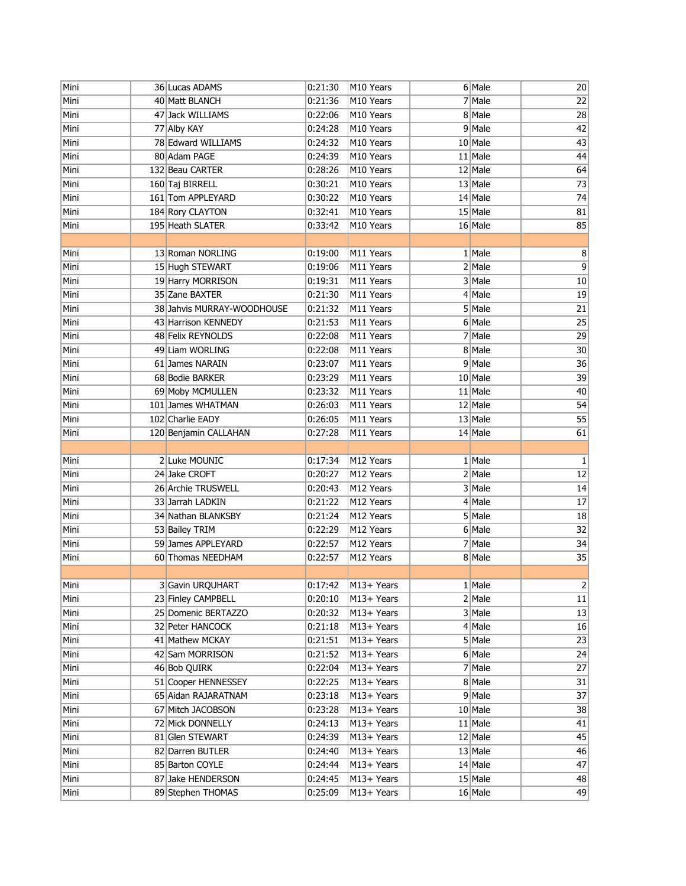| Mini         | 36 Lucas ADAMS                         | 0:21:30            | M10 Years                | 6 Male                 | 20               |
|--------------|----------------------------------------|--------------------|--------------------------|------------------------|------------------|
| Mini         | 40 Matt BLANCH                         | 0:21:36            | M10 Years                | $7$ Male               | 22               |
| Mini         | 47 Jack WILLIAMS                       | 0:22:06            | M10 Years                | 8 Male                 | 28               |
| Mini         | 77 Alby KAY                            | 0:24:28            | M10 Years                | 9 Male                 | 42               |
| Mini         | 78 Edward WILLIAMS                     | 0:24:32            | M10 Years                | $10$ Male              | 43               |
| Mini         | 80 Adam PAGE                           | 0:24:39            | M10 Years                | $11$ Male              | 44               |
| Mini         | 132 Beau CARTER                        | 0:28:26            | M10 Years                | 12 Male                | 64               |
| Mini         | 160 Taj BIRRELL                        | 0:30:21            | M10 Years                | $13$ Male              | 73               |
| Mini         | 161 Tom APPLEYARD                      | 0:30:22            | M10 Years                | $14$ Male              | 74               |
| Mini         | 184 Rory CLAYTON                       | 0:32:41            | M10 Years                | $15$ Male              | 81               |
| Mini         | 195 Heath SLATER                       | 0:33:42            | M10 Years                | $16$ Male              | 85               |
|              |                                        |                    |                          |                        |                  |
| Mini         | 13 Roman NORLING                       | 0:19:00            | M11 Years                | $1$ Male               | 8                |
| Mini         | 15 Hugh STEWART                        | 0:19:06            | M11 Years                | $2$ Male               | 9                |
| Mini         | 19 Harry MORRISON                      | 0:19:31            | M11 Years                | 3 Male                 | $10\,$           |
| Mini         | 35 Zane BAXTER                         | 0:21:30            | M11 Years                | $4$ Male               | 19               |
| Mini         | 38 Jahvis MURRAY-WOODHOUSE             | 0:21:32            | M11 Years                | 5 Male                 | $\overline{21}$  |
| Mini         | 43 Harrison KENNEDY                    | 0:21:53            | M11 Years                | $6$ Male               | $\overline{25}$  |
| Mini         | 48 Felix REYNOLDS                      | 0:22:08            | M11 Years                | $7$ Male               | 29               |
| Mini         | 49 Liam WORLING                        | 0:22:08            | M11 Years                | 8 Male                 | 30               |
| Mini         | 61 James NARAIN                        | 0:23:07            | M11 Years                | 9 Male                 | $\overline{36}$  |
| Mini         | 68 Bodie BARKER                        | 0:23:29            | M11 Years                | $10$ Male              | 39               |
| Mini         | 69 Moby MCMULLEN                       | 0:23:32            | M11 Years                | $11$ Male              | 40               |
| Mini         | 101 James WHATMAN                      | 0:26:03            | M11 Years                | 12 Male                | 54               |
| Mini         | 102 Charlie EADY                       | 0:26:05            | M11 Years                | $13$ Male              | 55               |
| Mini         | 120 Benjamin CALLAHAN                  | 0:27:28            | M11 Years                | $14$ Male              | 61               |
|              |                                        |                    |                          |                        |                  |
| Mini         | 2 Luke MOUNIC                          | 0:17:34            | M12 Years                | $1$ Male               | $\mathbf 1$      |
| Mini         | 24 Jake CROFT                          | 0:20:27            | M12 Years                | $2$ Male               | 12               |
| Mini         | 26 Archie TRUSWELL                     | 0:20:43            | M12 Years                | 3 Male                 | 14               |
| Mini         | 33 Jarrah LADKIN                       | 0:21:22            | M12 Years                | $4$ Male               | $17\,$           |
| Mini         | 34 Nathan BLANKSBY                     | 0:21:24            | M12 Years                | 5 Male                 | 18               |
| Mini         | 53 Bailey TRIM                         | 0:22:29            | M12 Years                | 6 Male                 | 32               |
| Mini         | 59 James APPLEYARD                     | 0:22:57            | M12 Years                | $7$ Male               | 34               |
| Mini         | 60 Thomas NEEDHAM                      | 0:22:57            | M12 Years                | 8 Male                 | 35               |
|              |                                        |                    |                          |                        |                  |
| Mini         | 3 Gavin URQUHART                       | 0:17:42            | M13+ Years               | 1   Male               | $\left  \right $ |
| Mini         | 23 Finley CAMPBELL                     | 0:20:10            | M13+ Years               | $2$ Male               | $11\,$           |
| Mini         | 25 Domenic BERTAZZO                    | 0:20:32            | M13+ Years               | 3 Male                 | 13               |
| Mini         | 32 Peter HANCOCK                       | 0:21:18            | M13+ Years               | $4$ Male               | 16               |
| Mini         | 41 Mathew MCKAY                        | 0:21:51            | M13+ Years               | 5 Male                 | 23               |
| Mini         | 42 Sam MORRISON                        | 0:21:52            | M13+ Years               | 6 Male                 | 24               |
| Mini         | 46 Bob QUIRK                           | 0:22:04            | M13+ Years               | $7$ Male               | 27               |
| Mini         | 51 Cooper HENNESSEY                    | 0:22:25            | M13+ Years               | 8 Male                 | 31               |
| Mini         | 65 Aidan RAJARATNAM                    | 0:23:18            | M13+ Years               | $9$ Male               | 37               |
| Mini         | 67 Mitch JACOBSON                      | 0:23:28            | M13+ Years               | 10 Male                | 38               |
| Mini         | 72 Mick DONNELLY                       | 0:24:13            | M13+ Years               | $11$ Male              | 41               |
| Mini         | 81 Glen STEWART                        | 0:24:39            | M13+ Years               | 12 Male                | 45               |
| Mini         | 82 Darren BUTLER                       | 0:24:40            | M13+ Years               | 13 Male                | 46               |
| Mini         |                                        |                    |                          |                        |                  |
|              | 85 Barton COYLE                        | 0:24:44            | M13+ Years               | 14 Male                | 47               |
| Mini<br>Mini | 87 Jake HENDERSON<br>89 Stephen THOMAS | 0:24:45<br>0:25:09 | M13+ Years<br>M13+ Years | $15$ Male<br>$16$ Male | 48<br>49         |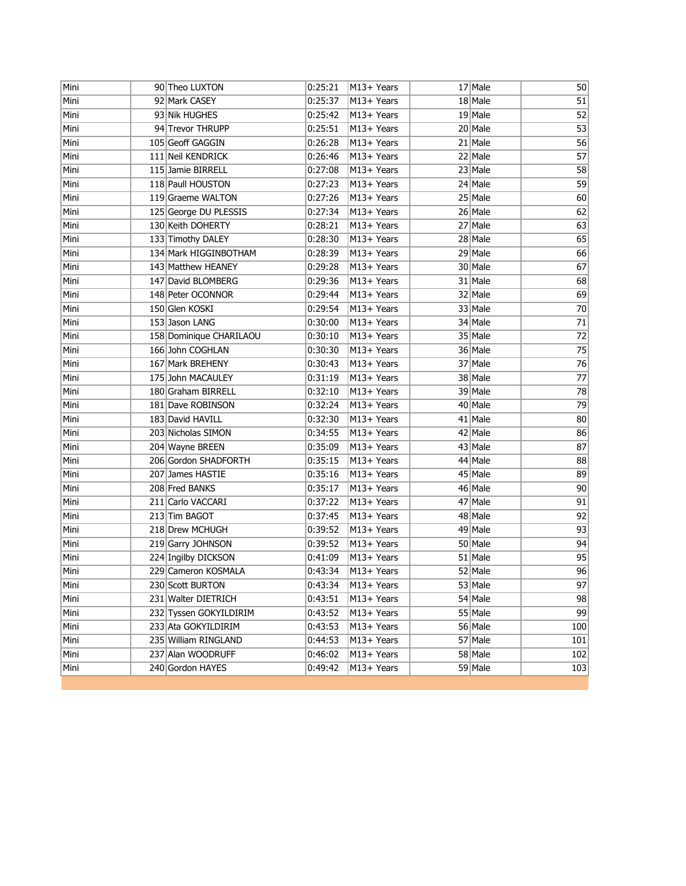| Mini | 90 Theo LUXTON          | 0:25:21 | M13+ Years | 17 Male   | 50              |
|------|-------------------------|---------|------------|-----------|-----------------|
| Mini | 92 Mark CASEY           | 0:25:37 | M13+ Years | 18 Male   | 51              |
| Mini | 93 Nik HUGHES           | 0:25:42 | M13+ Years | $19$ Male | 52              |
| Mini | 94 Trevor THRUPP        | 0:25:51 | M13+ Years | $20$ Male | 53              |
| Mini | 105 Geoff GAGGIN        | 0:26:28 | M13+ Years | $21$ Male | 56              |
| Mini | 111 Neil KENDRICK       | 0:26:46 | M13+ Years | 22 Male   | 57              |
| Mini | 115 Jamie BIRRELL       | 0:27:08 | M13+ Years | $23$ Male | 58              |
| Mini | 118 Paull HOUSTON       | 0:27:23 | M13+ Years | $24$ Male | 59              |
| Mini | 119 Graeme WALTON       | 0:27:26 | M13+ Years | 25 Male   | 60              |
| Mini | 125 George DU PLESSIS   | 0:27:34 | M13+ Years | 26 Male   | 62              |
| Mini | 130 Keith DOHERTY       | 0:28:21 | M13+ Years | 27 Male   | 63              |
| Mini | 133 Timothy DALEY       | 0:28:30 | M13+ Years | 28 Male   | 65              |
| Mini | 134 Mark HIGGINBOTHAM   | 0:28:39 | M13+ Years | 29 Male   | 66              |
| Mini | 143 Matthew HEANEY      | 0:29:28 | M13+ Years | 30 Male   | 67              |
| Mini | 147 David BLOMBERG      | 0:29:36 | M13+ Years | 31 Male   | 68              |
| Mini | 148 Peter OCONNOR       | 0:29:44 | M13+ Years | 32 Male   | 69              |
| Mini | 150 Glen KOSKI          | 0:29:54 | M13+ Years | 33 Male   | 70              |
| Mini | 153 Jason LANG          | 0:30:00 | M13+ Years | 34 Male   | $71\,$          |
| Mini | 158 Dominique CHARILAOU | 0:30:10 | M13+ Years | 35 Male   | 72              |
| Mini | 166 John COGHLAN        | 0:30:30 | M13+ Years | 36 Male   | $\overline{75}$ |
| Mini | 167 Mark BREHENY        | 0:30:43 | M13+ Years | 37 Male   | 76              |
| Mini | 175 John MACAULEY       | 0:31:19 | M13+ Years | 38 Male   | 77              |
| Mini | 180 Graham BIRRELL      | 0:32:10 | M13+ Years | 39 Male   | 78              |
| Mini | 181 Dave ROBINSON       | 0:32:24 | M13+ Years | $40$ Male | 79              |
| Mini | 183 David HAVILL        | 0:32:30 | M13+ Years | $41$ Male | 80              |
| Mini | 203 Nicholas SIMON      | 0:34:55 | M13+ Years | $42$ Male | 86              |
| Mini | 204 Wayne BREEN         | 0:35:09 | M13+ Years | 43 Male   | 87              |
| Mini | 206 Gordon SHADFORTH    | 0:35:15 | M13+ Years | 44 Male   | 88              |
| Mini | 207 James HASTIE        | 0:35:16 | M13+ Years | $45$ Male | 89              |
| Mini | 208 Fred BANKS          | 0:35:17 | M13+ Years | 46 Male   | 90              |
| Mini | 211 Carlo VACCARI       | 0:37:22 | M13+ Years | 47 Male   | 91              |
| Mini | 213 Tim BAGOT           | 0:37:45 | M13+ Years | 48 Male   | 92              |
| Mini | 218 Drew MCHUGH         | 0:39:52 | M13+ Years | 49 Male   | 93              |
| Mini | 219 Garry JOHNSON       | 0:39:52 | M13+ Years | 50 Male   | 94              |
| Mini | 224 Ingilby DICKSON     | 0:41:09 | M13+ Years | 51 Male   | 95              |
| Mini | 229 Cameron KOSMALA     | 0:43:34 | M13+ Years | 52 Male   | 96              |
| Mini | 230 Scott BURTON        | 0:43:34 | M13+ Years | 53 Male   | 97              |
| Mini | 231 Walter DIETRICH     | 0:43:51 | M13+ Years | 54 Male   | 98              |
| Mini | 232 Tyssen GOKYILDIRIM  | 0:43:52 | M13+ Years | 55 Male   | 99              |
| Mini | 233 Ata GOKYILDIRIM     | 0:43:53 | M13+ Years | 56 Male   | 100             |
| Mini | 235 William RINGLAND    | 0:44:53 | M13+ Years | 57 Male   | 101             |
| Mini | 237 Alan WOODRUFF       | 0:46:02 | M13+ Years | 58 Male   | 102             |
| Mini | 240 Gordon HAYES        | 0:49:42 | M13+ Years | 59 Male   | 103             |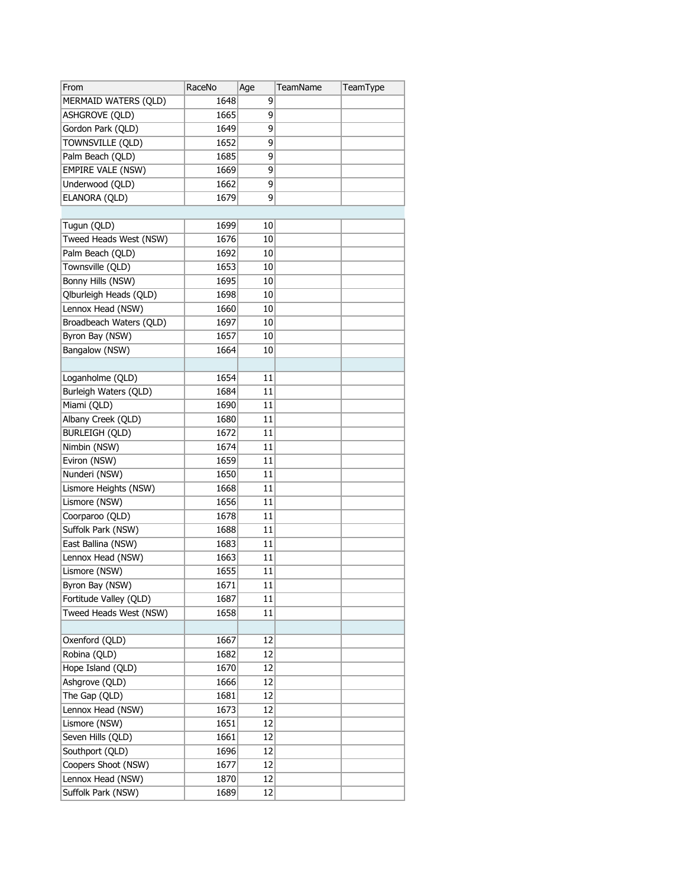| From                               | RaceNo | Age      | <b>TeamName</b> | TeamType |
|------------------------------------|--------|----------|-----------------|----------|
| MERMAID WATERS (QLD)               | 1648   | 9        |                 |          |
| ASHGROVE (QLD)                     | 1665   | 9        |                 |          |
| Gordon Park (QLD)                  | 1649   | 9        |                 |          |
| Townsville (QLD)                   | 1652   | 9        |                 |          |
| Palm Beach (QLD)                   | 1685   | 9        |                 |          |
| <b>EMPIRE VALE (NSW)</b>           | 1669   | 9        |                 |          |
| Underwood (QLD)                    | 1662   | 9        |                 |          |
| ELANORA (QLD)                      | 1679   | 9        |                 |          |
|                                    |        |          |                 |          |
| Tugun (QLD)                        | 1699   | 10       |                 |          |
| Tweed Heads West (NSW)             | 1676   | 10       |                 |          |
| Palm Beach (QLD)                   | 1692   | 10       |                 |          |
| Townsville (QLD)                   | 1653   | 10       |                 |          |
| Bonny Hills (NSW)                  | 1695   | 10       |                 |          |
| Qlburleigh Heads (QLD)             | 1698   | 10       |                 |          |
| Lennox Head (NSW)                  | 1660   | 10       |                 |          |
| Broadbeach Waters (QLD)            | 1697   | 10       |                 |          |
| Byron Bay (NSW)                    | 1657   | 10       |                 |          |
| Bangalow (NSW)                     | 1664   | 10       |                 |          |
|                                    |        |          |                 |          |
| Loganholme (QLD)                   | 1654   | 11       |                 |          |
| Burleigh Waters (QLD)              | 1684   | 11       |                 |          |
| Miami (QLD)                        | 1690   | 11       |                 |          |
| Albany Creek (QLD)                 | 1680   | 11       |                 |          |
| <b>BURLEIGH (QLD)</b>              | 1672   | 11       |                 |          |
| Nimbin (NSW)                       | 1674   | 11       |                 |          |
| Eviron (NSW)                       | 1659   | 11       |                 |          |
| Nunderi (NSW)                      | 1650   | 11       |                 |          |
| Lismore Heights (NSW)              | 1668   | 11       |                 |          |
| Lismore (NSW)                      | 1656   | 11       |                 |          |
| Coorparoo (QLD)                    | 1678   | 11       |                 |          |
| Suffolk Park (NSW)                 | 1688   | 11       |                 |          |
| East Ballina (NSW)                 | 1683   | 11       |                 |          |
| Lennox Head (NSW)                  | 1663   | 11       |                 |          |
| Lismore (NSW)                      | 1655   | 11       |                 |          |
| Byron Bay (NSW)                    | 1671   | 11       |                 |          |
| Fortitude Valley (QLD)             | 1687   | 11       |                 |          |
| Tweed Heads West (NSW)             | 1658   | 11       |                 |          |
|                                    |        |          |                 |          |
| Oxenford (QLD)                     | 1667   | 12       |                 |          |
| Robina (QLD)                       | 1682   | 12       |                 |          |
| Hope Island (QLD)                  | 1670   | 12       |                 |          |
| Ashgrove (QLD)                     |        | 12       |                 |          |
|                                    | 1666   |          |                 |          |
| The Gap (QLD)<br>Lennox Head (NSW) | 1681   | 12<br>12 |                 |          |
|                                    | 1673   |          |                 |          |
| Lismore (NSW)                      | 1651   | 12       |                 |          |
| Seven Hills (QLD)                  | 1661   | 12       |                 |          |
| Southport (QLD)                    | 1696   | 12       |                 |          |
| Coopers Shoot (NSW)                | 1677   | 12       |                 |          |
| Lennox Head (NSW)                  | 1870   | 12       |                 |          |
| Suffolk Park (NSW)                 | 1689   | 12       |                 |          |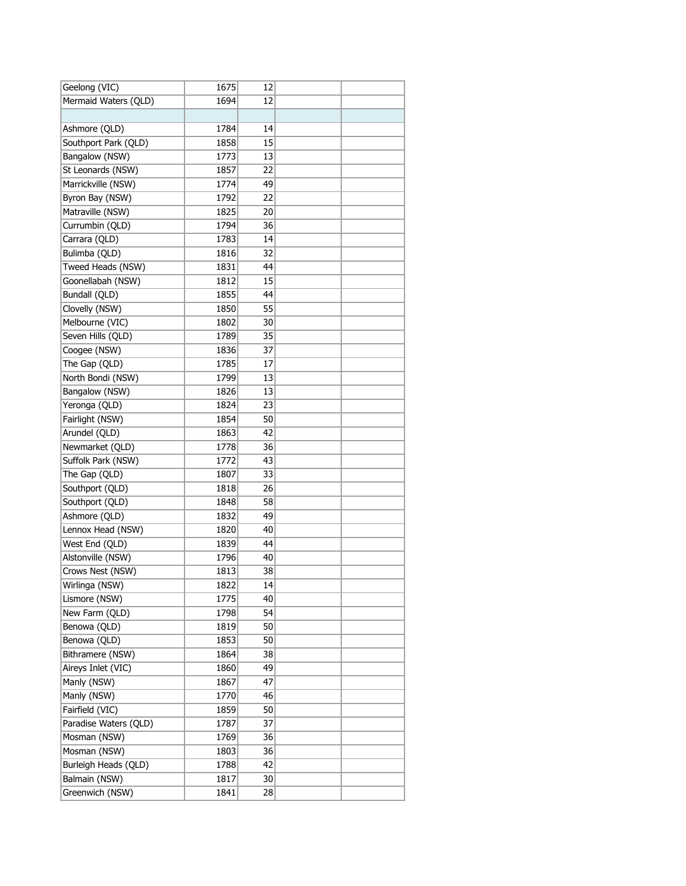| Geelong (VIC)         | 1675 | 12 |  |
|-----------------------|------|----|--|
| Mermaid Waters (QLD)  | 1694 | 12 |  |
|                       |      |    |  |
| Ashmore (QLD)         | 1784 | 14 |  |
| Southport Park (QLD)  | 1858 | 15 |  |
| Bangalow (NSW)        | 1773 | 13 |  |
| St Leonards (NSW)     | 1857 | 22 |  |
| Marrickville (NSW)    | 1774 | 49 |  |
| Byron Bay (NSW)       | 1792 | 22 |  |
| Matraville (NSW)      | 1825 | 20 |  |
| Currumbin (QLD)       | 1794 | 36 |  |
| Carrara (QLD)         | 1783 | 14 |  |
| Bulimba (QLD)         | 1816 | 32 |  |
| Tweed Heads (NSW)     | 1831 | 44 |  |
| Goonellabah (NSW)     | 1812 | 15 |  |
| Bundall (QLD)         | 1855 | 44 |  |
| Clovelly (NSW)        | 1850 | 55 |  |
| Melbourne (VIC)       | 1802 | 30 |  |
| Seven Hills (QLD)     | 1789 | 35 |  |
| Coogee (NSW)          | 1836 | 37 |  |
| The Gap (QLD)         | 1785 | 17 |  |
| North Bondi (NSW)     | 1799 | 13 |  |
| Bangalow (NSW)        | 1826 | 13 |  |
| Yeronga (QLD)         | 1824 | 23 |  |
| Fairlight (NSW)       | 1854 | 50 |  |
| Arundel (QLD)         | 1863 | 42 |  |
| Newmarket (QLD)       | 1778 | 36 |  |
| Suffolk Park (NSW)    | 1772 | 43 |  |
| The Gap (QLD)         | 1807 | 33 |  |
| Southport (QLD)       | 1818 | 26 |  |
| Southport (QLD)       | 1848 | 58 |  |
| Ashmore (QLD)         | 1832 | 49 |  |
| Lennox Head (NSW)     | 1820 | 40 |  |
| West End (QLD)        | 1839 | 44 |  |
| Alstonville (NSW)     | 1796 | 40 |  |
| Crows Nest (NSW)      | 1813 | 38 |  |
| Wirlinga (NSW)        | 1822 | 14 |  |
| Lismore (NSW)         | 1775 | 40 |  |
| New Farm (QLD)        | 1798 | 54 |  |
| Benowa (QLD)          | 1819 | 50 |  |
| Benowa (QLD)          | 1853 | 50 |  |
| Bithramere (NSW)      | 1864 | 38 |  |
| Aireys Inlet (VIC)    | 1860 | 49 |  |
| Manly (NSW)           | 1867 | 47 |  |
| Manly (NSW)           | 1770 | 46 |  |
| Fairfield (VIC)       | 1859 | 50 |  |
| Paradise Waters (QLD) | 1787 | 37 |  |
| Mosman (NSW)          | 1769 | 36 |  |
| Mosman (NSW)          | 1803 | 36 |  |
| Burleigh Heads (QLD)  | 1788 | 42 |  |
| Balmain (NSW)         | 1817 | 30 |  |
| Greenwich (NSW)       | 1841 | 28 |  |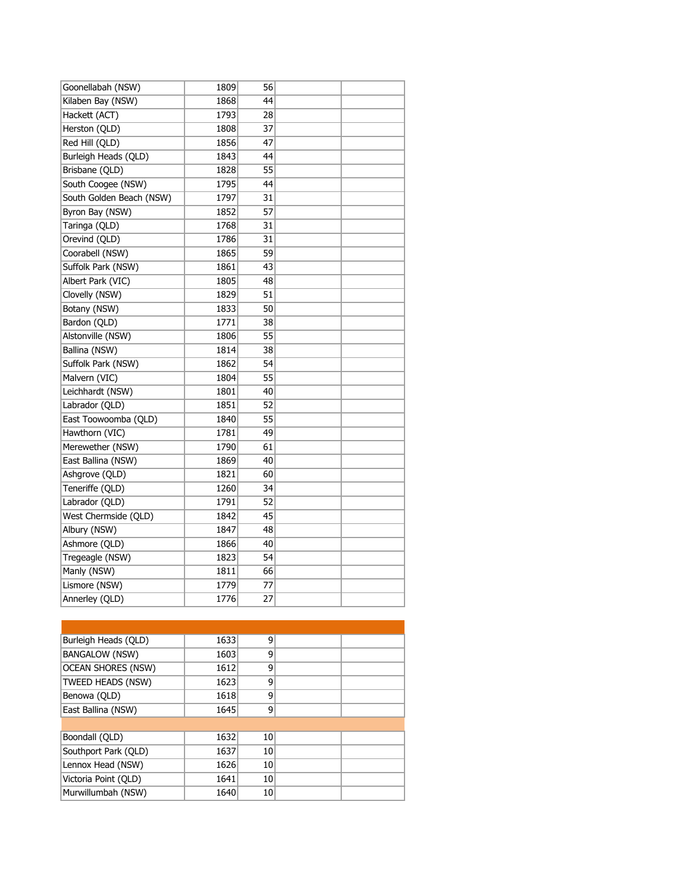| Goonellabah (NSW)        | 1809 | 56 |  |
|--------------------------|------|----|--|
| Kilaben Bay (NSW)        | 1868 | 44 |  |
| Hackett (ACT)            | 1793 | 28 |  |
| Herston (QLD)            | 1808 | 37 |  |
| Red Hill (QLD)           | 1856 | 47 |  |
| Burleigh Heads (QLD)     | 1843 | 44 |  |
| Brisbane (QLD)           | 1828 | 55 |  |
| South Coogee (NSW)       | 1795 | 44 |  |
| South Golden Beach (NSW) | 1797 | 31 |  |
| Byron Bay (NSW)          | 1852 | 57 |  |
| Taringa (QLD)            | 1768 | 31 |  |
| Orevind (QLD)            | 1786 | 31 |  |
| Coorabell (NSW)          | 1865 | 59 |  |
| Suffolk Park (NSW)       | 1861 | 43 |  |
| Albert Park (VIC)        | 1805 | 48 |  |
| Clovelly (NSW)           | 1829 | 51 |  |
| Botany (NSW)             | 1833 | 50 |  |
| Bardon (QLD)             | 1771 | 38 |  |
| Alstonville (NSW)        | 1806 | 55 |  |
| Ballina (NSW)            | 1814 | 38 |  |
| Suffolk Park (NSW)       | 1862 | 54 |  |
| Malvern (VIC)            | 1804 | 55 |  |
| Leichhardt (NSW)         | 1801 | 40 |  |
| Labrador (QLD)           | 1851 | 52 |  |
| East Toowoomba (QLD)     | 1840 | 55 |  |
| Hawthorn (VIC)           | 1781 | 49 |  |
| Merewether (NSW)         | 1790 | 61 |  |
| East Ballina (NSW)       | 1869 | 40 |  |
| Ashgrove (QLD)           | 1821 | 60 |  |
| Teneriffe (QLD)          | 1260 | 34 |  |
| Labrador (QLD)           | 1791 | 52 |  |
| West Chermside (QLD)     | 1842 | 45 |  |
| Albury (NSW)             | 1847 | 48 |  |
| Ashmore (QLD)            | 1866 | 40 |  |
| Tregeagle (NSW)          | 1823 | 54 |  |
| Manly (NSW)              | 1811 | 66 |  |
| Lismore (NSW)            | 1779 | 77 |  |
| Annerley (QLD)           | 1776 | 27 |  |

| Burleigh Heads (OLD)      | 1633 | 9  |  |
|---------------------------|------|----|--|
| <b>BANGALOW (NSW)</b>     | 1603 | 9  |  |
| <b>OCEAN SHORES (NSW)</b> | 1612 | 9  |  |
| TWEED HEADS (NSW)         | 1623 | 9  |  |
| Benowa (OLD)              | 1618 | 9  |  |
| East Ballina (NSW)        | 1645 | 9  |  |
|                           |      |    |  |
| Boondall (QLD)            | 1632 | 10 |  |
| Southport Park (QLD)      | 1637 | 10 |  |
| Lennox Head (NSW)         | 1626 | 10 |  |
| Victoria Point (OLD)      | 1641 | 10 |  |
| Murwillumbah (NSW)        | 1640 | 10 |  |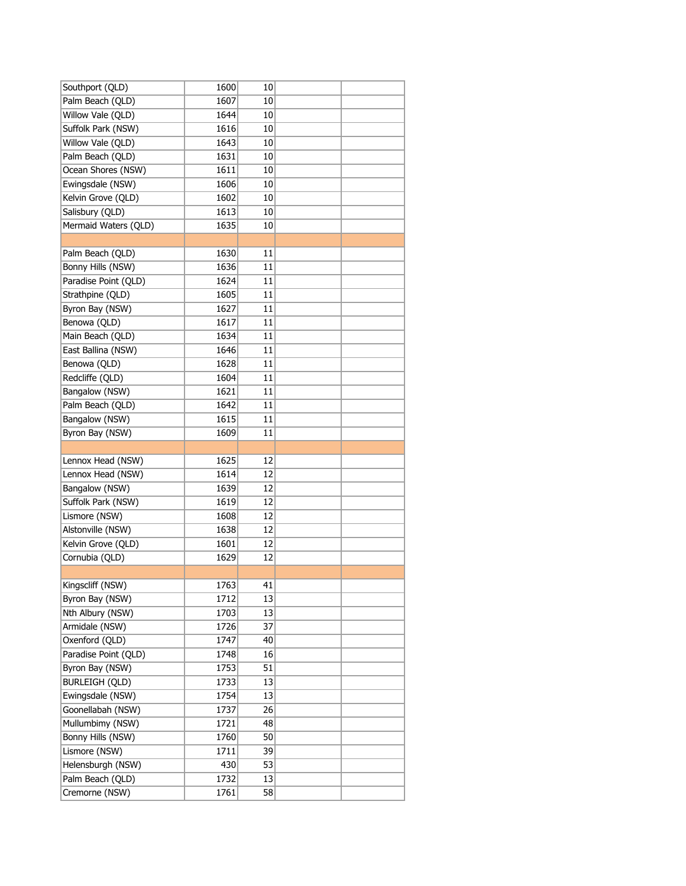| Southport (QLD)                    | 1600 | 10 |  |
|------------------------------------|------|----|--|
| Palm Beach (QLD)                   | 1607 | 10 |  |
| Willow Vale (QLD)                  | 1644 | 10 |  |
| Suffolk Park (NSW)                 | 1616 | 10 |  |
| Willow Vale (QLD)                  | 1643 | 10 |  |
| Palm Beach (QLD)                   | 1631 | 10 |  |
| Ocean Shores (NSW)                 | 1611 | 10 |  |
| Ewingsdale (NSW)                   | 1606 | 10 |  |
| Kelvin Grove (QLD)                 | 1602 | 10 |  |
| Salisbury (QLD)                    | 1613 | 10 |  |
| Mermaid Waters (QLD)               | 1635 | 10 |  |
|                                    |      |    |  |
| Palm Beach (QLD)                   | 1630 | 11 |  |
| Bonny Hills (NSW)                  | 1636 | 11 |  |
| Paradise Point (QLD)               | 1624 | 11 |  |
| Strathpine (QLD)                   | 1605 | 11 |  |
| Byron Bay (NSW)                    | 1627 | 11 |  |
| Benowa (QLD)                       | 1617 | 11 |  |
| Main Beach (QLD)                   | 1634 | 11 |  |
| East Ballina (NSW)                 | 1646 | 11 |  |
| Benowa (QLD)                       | 1628 | 11 |  |
| Redcliffe (QLD)                    | 1604 | 11 |  |
| Bangalow (NSW)                     | 1621 | 11 |  |
| Palm Beach (QLD)                   | 1642 | 11 |  |
| Bangalow (NSW)                     | 1615 | 11 |  |
| Byron Bay (NSW)                    | 1609 | 11 |  |
|                                    |      |    |  |
|                                    |      |    |  |
| Lennox Head (NSW)                  | 1625 | 12 |  |
| Lennox Head (NSW)                  | 1614 | 12 |  |
| Bangalow (NSW)                     | 1639 | 12 |  |
| Suffolk Park (NSW)                 | 1619 | 12 |  |
| Lismore (NSW)                      | 1608 | 12 |  |
| Alstonville (NSW)                  | 1638 | 12 |  |
| Kelvin Grove (QLD)                 | 1601 | 12 |  |
| Cornubia (QLD)                     | 1629 | 12 |  |
|                                    |      |    |  |
| Kingscliff (NSW)                   | 1763 | 41 |  |
| Byron Bay (NSW)                    | 1712 | 13 |  |
| Nth Albury (NSW)                   | 1703 | 13 |  |
| Armidale (NSW)                     | 1726 | 37 |  |
| Oxenford (QLD)                     | 1747 | 40 |  |
| Paradise Point (QLD)               | 1748 | 16 |  |
| Byron Bay (NSW)                    | 1753 | 51 |  |
| <b>BURLEIGH (QLD)</b>              | 1733 | 13 |  |
| Ewingsdale (NSW)                   | 1754 | 13 |  |
| Goonellabah (NSW)                  | 1737 | 26 |  |
| Mullumbimy (NSW)                   | 1721 | 48 |  |
| Bonny Hills (NSW)                  | 1760 | 50 |  |
| Lismore (NSW)                      | 1711 | 39 |  |
| Helensburgh (NSW)                  | 430  | 53 |  |
| Palm Beach (QLD)<br>Cremorne (NSW) | 1732 | 13 |  |